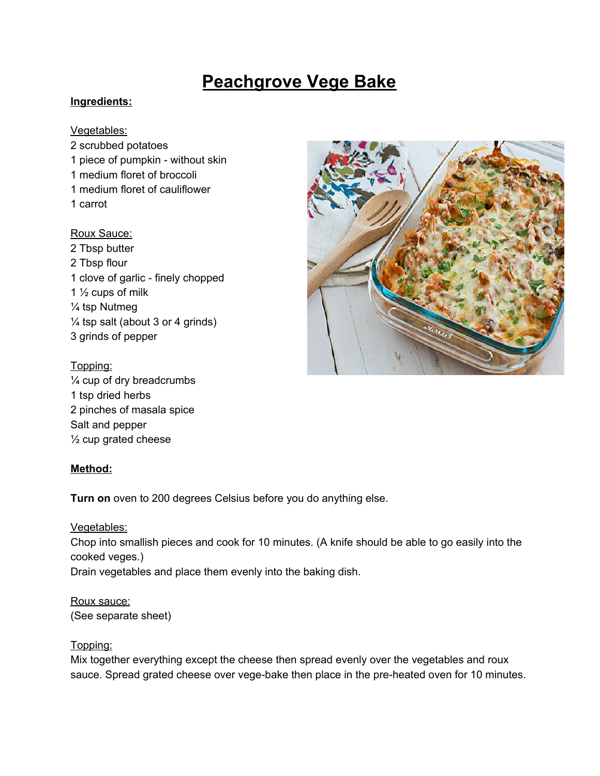# **Peachgrove Vege Bake**

#### **Ingredients:**

#### Vegetables:

 scrubbed potatoes piece of pumpkin - without skin medium floret of broccoli medium floret of cauliflower 1 carrot

#### Roux Sauce:

 Tbsp butter Tbsp flour clove of garlic - finely chopped  $\frac{1}{2}$  cups of milk ¼ tsp Nutmeg  $\frac{1}{4}$  tsp salt (about 3 or 4 grinds) grinds of pepper

#### Topping:

¼ cup of dry breadcrumbs 1 tsp dried herbs 2 pinches of masala spice Salt and pepper ½ cup grated cheese

#### **Method:**

**Turn on** oven to 200 degrees Celsius before you do anything else.

Vegetables: Chop into smallish pieces and cook for 10 minutes. (A knife should be able to go easily into the cooked veges.) Drain vegetables and place them evenly into the baking dish.

Roux sauce: (See separate sheet)

#### Topping:

Mix together everything except the cheese then spread evenly over the vegetables and roux sauce. Spread grated cheese over vege-bake then place in the pre-heated oven for 10 minutes.

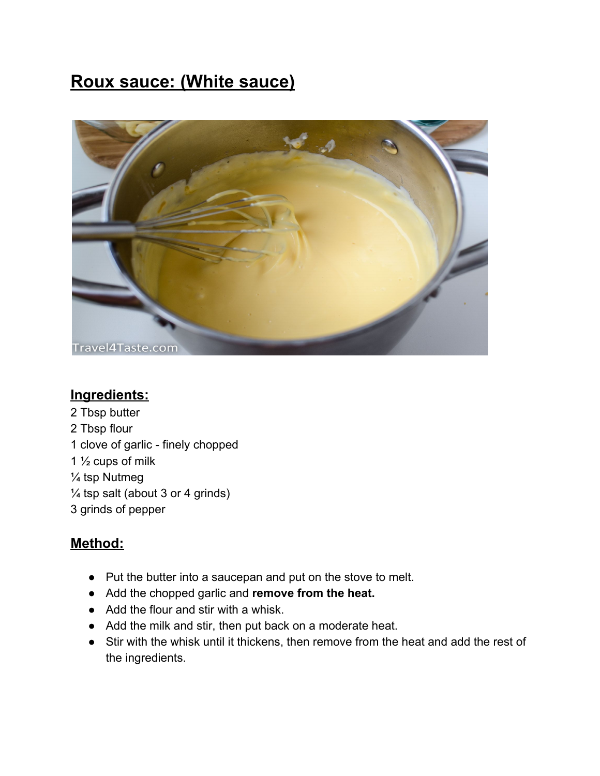## **Roux sauce: (White sauce)**



### **Ingredients:**

2 Tbsp butter 2 Tbsp flour 1 clove of garlic - finely chopped 1 ½ cups of milk ¼ tsp Nutmeg  $\frac{1}{4}$  tsp salt (about 3 or 4 grinds) 3 grinds of pepper

### **Method:**

- Put the butter into a saucepan and put on the stove to melt.
- Add the chopped garlic and **remove from the heat.**
- Add the flour and stir with a whisk.
- Add the milk and stir, then put back on a moderate heat.
- Stir with the whisk until it thickens, then remove from the heat and add the rest of the ingredients.